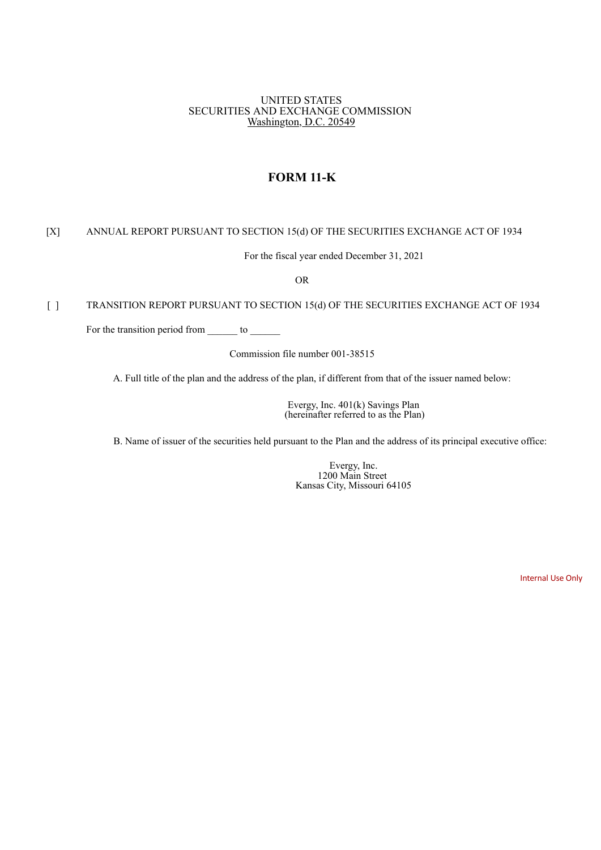#### UNITED STATES SECURITIES AND EXCHANGE COMMISSION Washington, D.C. 20549

## **FORM 11-K**

## [X] ANNUAL REPORT PURSUANT TO SECTION 15(d) OF THE SECURITIES EXCHANGE ACT OF 1934

For the fiscal year ended December 31, 2021

OR

[ ] TRANSITION REPORT PURSUANT TO SECTION 15(d) OF THE SECURITIES EXCHANGE ACT OF 1934

For the transition period from \_\_\_\_\_\_\_ to \_\_\_\_\_\_\_

Commission file number 001-38515

A. Full title of the plan and the address of the plan, if different from that of the issuer named below:

Evergy, Inc. 401(k) Savings Plan (hereinafter referred to as the Plan)

B. Name of issuer of the securities held pursuant to the Plan and the address of its principal executive office:

Evergy, Inc. 1200 Main Street Kansas City, Missouri 64105

Internal Use Only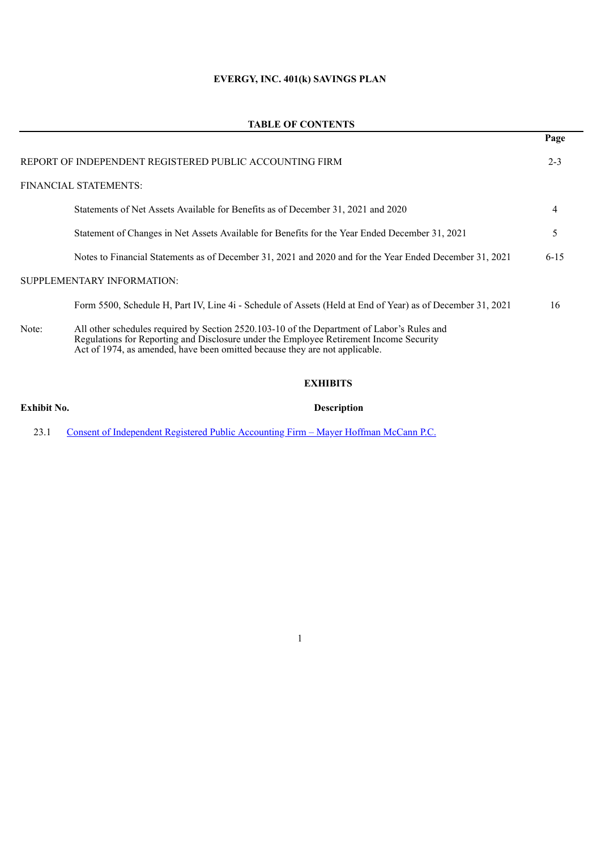# **TABLE OF CONTENTS**

|                                                         |                                                                                                                                                                                                                                                                     | Page     |  |  |  |
|---------------------------------------------------------|---------------------------------------------------------------------------------------------------------------------------------------------------------------------------------------------------------------------------------------------------------------------|----------|--|--|--|
| REPORT OF INDEPENDENT REGISTERED PUBLIC ACCOUNTING FIRM |                                                                                                                                                                                                                                                                     |          |  |  |  |
| <b>FINANCIAL STATEMENTS:</b>                            |                                                                                                                                                                                                                                                                     |          |  |  |  |
|                                                         | Statements of Net Assets Available for Benefits as of December 31, 2021 and 2020                                                                                                                                                                                    | 4        |  |  |  |
|                                                         | Statement of Changes in Net Assets Available for Benefits for the Year Ended December 31, 2021                                                                                                                                                                      | 5        |  |  |  |
|                                                         | Notes to Financial Statements as of December 31, 2021 and 2020 and for the Year Ended December 31, 2021                                                                                                                                                             | $6 - 15$ |  |  |  |
| <b>SUPPLEMENTARY INFORMATION:</b>                       |                                                                                                                                                                                                                                                                     |          |  |  |  |
|                                                         | Form 5500, Schedule H, Part IV, Line 4i - Schedule of Assets (Held at End of Year) as of December 31, 2021                                                                                                                                                          | 16       |  |  |  |
| Note:                                                   | All other schedules required by Section 2520.103-10 of the Department of Labor's Rules and<br>Regulations for Reporting and Disclosure under the Employee Retirement Income Security<br>Act of 1974, as amended, have been omitted because they are not applicable. |          |  |  |  |
|                                                         | <b>EXHIBITS</b>                                                                                                                                                                                                                                                     |          |  |  |  |

1

**Exhibit No. Description**

23.1 Consent of [Independent](#page-18-0) Registered Public Accounting Firm – Mayer Hoffman McCann P.C.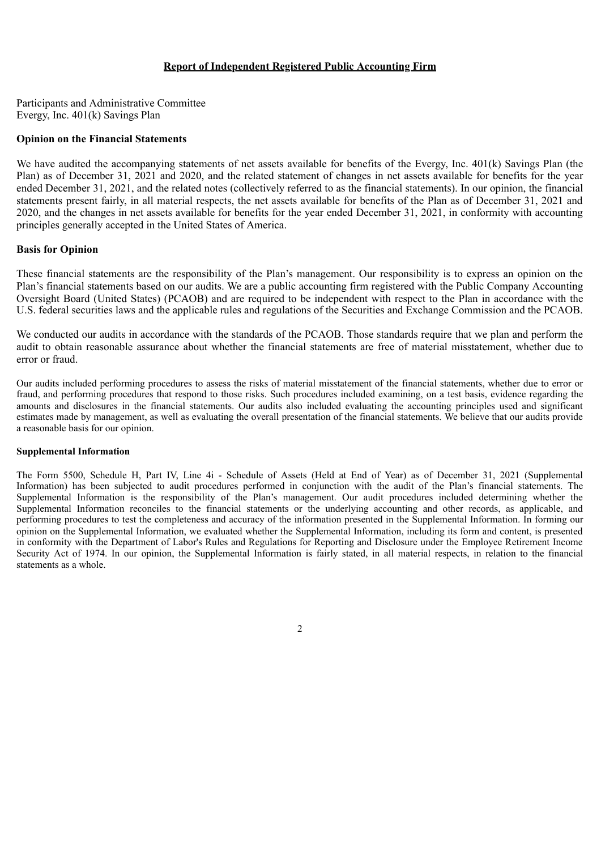### **Report of Independent Registered Public Accounting Firm**

Participants and Administrative Committee Evergy, Inc. 401(k) Savings Plan

#### **Opinion on the Financial Statements**

We have audited the accompanying statements of net assets available for benefits of the Evergy, Inc. 401(k) Savings Plan (the Plan) as of December 31, 2021 and 2020, and the related statement of changes in net assets available for benefits for the year ended December 31, 2021, and the related notes (collectively referred to as the financial statements). In our opinion, the financial statements present fairly, in all material respects, the net assets available for benefits of the Plan as of December 31, 2021 and 2020, and the changes in net assets available for benefits for the year ended December 31, 2021, in conformity with accounting principles generally accepted in the United States of America.

#### **Basis for Opinion**

These financial statements are the responsibility of the Plan's management. Our responsibility is to express an opinion on the Plan's financial statements based on our audits. We are a public accounting firm registered with the Public Company Accounting Oversight Board (United States) (PCAOB) and are required to be independent with respect to the Plan in accordance with the U.S. federal securities laws and the applicable rules and regulations of the Securities and Exchange Commission and the PCAOB.

We conducted our audits in accordance with the standards of the PCAOB. Those standards require that we plan and perform the audit to obtain reasonable assurance about whether the financial statements are free of material misstatement, whether due to error or fraud.

Our audits included performing procedures to assess the risks of material misstatement of the financial statements, whether due to error or fraud, and performing procedures that respond to those risks. Such procedures included examining, on a test basis, evidence regarding the amounts and disclosures in the financial statements. Our audits also included evaluating the accounting principles used and significant estimates made by management, as well as evaluating the overall presentation of the financial statements. We believe that our audits provide a reasonable basis for our opinion.

#### **Supplemental Information**

The Form 5500, Schedule H, Part IV, Line 4i - Schedule of Assets (Held at End of Year) as of December 31, 2021 (Supplemental Information) has been subjected to audit procedures performed in conjunction with the audit of the Plan's financial statements. The Supplemental Information is the responsibility of the Plan's management. Our audit procedures included determining whether the Supplemental Information reconciles to the financial statements or the underlying accounting and other records, as applicable, and performing procedures to test the completeness and accuracy of the information presented in the Supplemental Information. In forming our opinion on the Supplemental Information, we evaluated whether the Supplemental Information, including its form and content, is presented in conformity with the Department of Labor's Rules and Regulations for Reporting and Disclosure under the Employee Retirement Income Security Act of 1974. In our opinion, the Supplemental Information is fairly stated, in all material respects, in relation to the financial statements as a whole.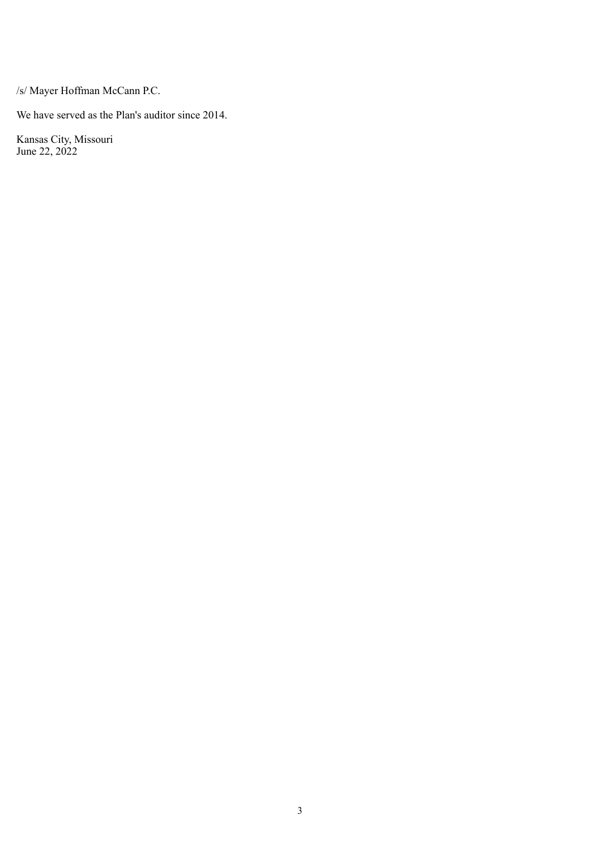/s/ Mayer Hoffman McCann P.C.

We have served as the Plan's auditor since 2014.

Kansas City, Missouri June 22, 2022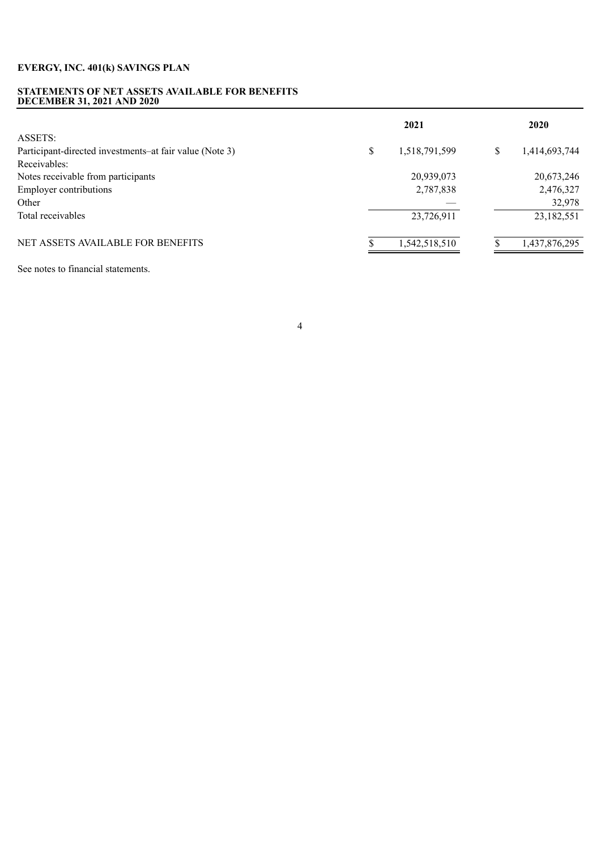#### **STATEMENTS OF NET ASSETS AVAILABLE FOR BENEFITS DECEMBER 31, 2021 AND 2020**

|                                                         | 2021          | 2020                |
|---------------------------------------------------------|---------------|---------------------|
| ASSETS:                                                 |               |                     |
| Participant-directed investments-at fair value (Note 3) | 1,518,791,599 | \$<br>1,414,693,744 |
| Receivables:                                            |               |                     |
| Notes receivable from participants                      | 20,939,073    | 20,673,246          |
| <b>Employer contributions</b>                           | 2,787,838     | 2,476,327           |
| Other                                                   |               | 32,978              |
| Total receivables                                       | 23,726,911    | 23,182,551          |
| NET ASSETS AVAILABLE FOR BENEFITS                       | 1,542,518,510 | 1,437,876,295       |
|                                                         |               |                     |

See notes to financial statements.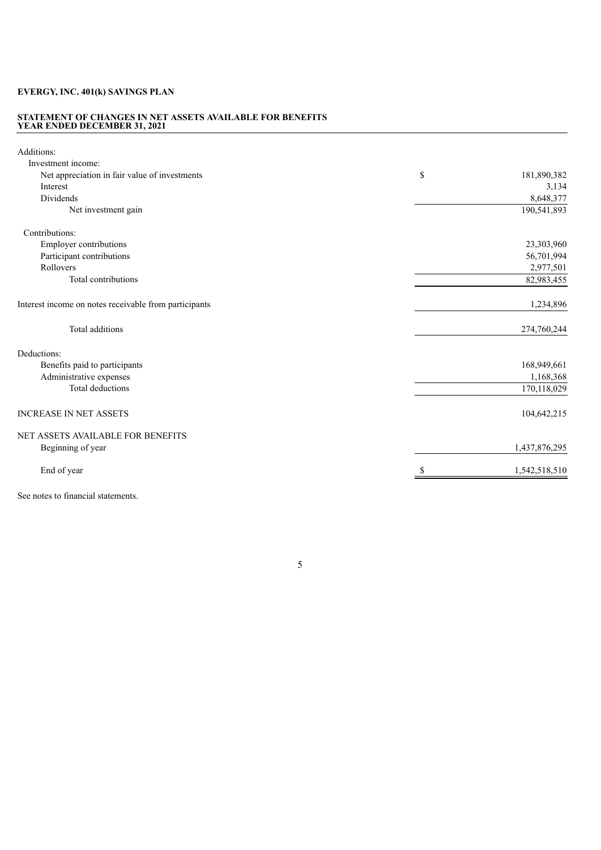#### **STATEMENT OF CHANGES IN NET ASSETS AVAILABLE FOR BENEFITS YEAR ENDED DECEMBER 31, 2021**

| Additions:                                            |    |               |
|-------------------------------------------------------|----|---------------|
| Investment income:                                    |    |               |
| Net appreciation in fair value of investments         | \$ | 181,890,382   |
| Interest                                              |    | 3,134         |
| Dividends                                             |    | 8,648,377     |
| Net investment gain                                   |    | 190,541,893   |
| Contributions:                                        |    |               |
| <b>Employer contributions</b>                         |    | 23,303,960    |
| Participant contributions                             |    | 56,701,994    |
| Rollovers                                             |    | 2,977,501     |
| Total contributions                                   |    | 82,983,455    |
| Interest income on notes receivable from participants |    | 1,234,896     |
| Total additions                                       |    | 274,760,244   |
| Deductions:                                           |    |               |
| Benefits paid to participants                         |    | 168,949,661   |
| Administrative expenses                               |    | 1,168,368     |
| Total deductions                                      |    | 170,118,029   |
| <b>INCREASE IN NET ASSETS</b>                         |    | 104,642,215   |
| NET ASSETS AVAILABLE FOR BENEFITS                     |    |               |
| Beginning of year                                     |    | 1,437,876,295 |
| End of year                                           | S  | 1,542,518,510 |
|                                                       |    |               |

5

See notes to financial statements.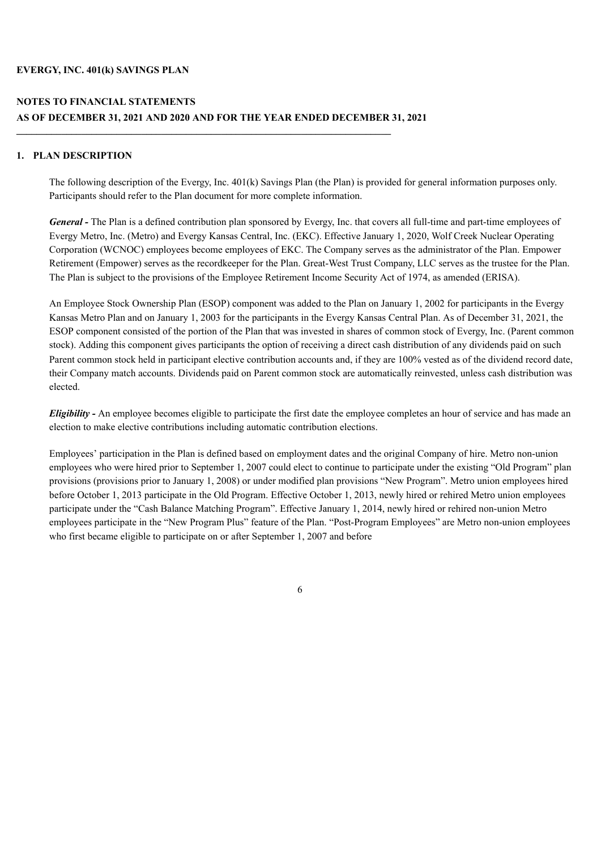## **NOTES TO FINANCIAL STATEMENTS AS OF DECEMBER 31, 2021 AND 2020 AND FOR THE YEAR ENDED DECEMBER 31, 2021**

**\_\_\_\_\_\_\_\_\_\_\_\_\_\_\_\_\_\_\_\_\_\_\_\_\_\_\_\_\_\_\_\_\_\_\_\_\_\_\_\_\_\_\_\_\_\_\_\_\_\_\_\_\_\_\_\_\_\_\_\_\_\_\_\_\_\_\_\_\_\_\_\_\_\_\_**

#### **1. PLAN DESCRIPTION**

The following description of the Evergy, Inc. 401(k) Savings Plan (the Plan) is provided for general information purposes only. Participants should refer to the Plan document for more complete information.

*General* – The Plan is a defined contribution plan sponsored by Evergy. Inc. that covers all full-time and part-time employees of Evergy Metro, Inc. (Metro) and Evergy Kansas Central, Inc. (EKC). Effective January 1, 2020, Wolf Creek Nuclear Operating Corporation (WCNOC) employees become employees of EKC. The Company serves as the administrator of the Plan. Empower Retirement (Empower) serves as the recordkeeper for the Plan. Great-West Trust Company, LLC serves as the trustee for the Plan. The Plan is subject to the provisions of the Employee Retirement Income Security Act of 1974, as amended (ERISA).

An Employee Stock Ownership Plan (ESOP) component was added to the Plan on January 1, 2002 for participants in the Evergy Kansas Metro Plan and on January 1, 2003 for the participants in the Evergy Kansas Central Plan. As of December 31, 2021, the ESOP component consisted of the portion of the Plan that was invested in shares of common stock of Evergy, Inc. (Parent common stock). Adding this component gives participants the option of receiving a direct cash distribution of any dividends paid on such Parent common stock held in participant elective contribution accounts and, if they are 100% vested as of the dividend record date, their Company match accounts. Dividends paid on Parent common stock are automatically reinvested, unless cash distribution was elected.

*Eligibility -* An employee becomes eligible to participate the first date the employee completes an hour of service and has made an election to make elective contributions including automatic contribution elections.

Employees' participation in the Plan is defined based on employment dates and the original Company of hire. Metro non-union employees who were hired prior to September 1, 2007 could elect to continue to participate under the existing "Old Program" plan provisions (provisions prior to January 1, 2008) or under modified plan provisions "New Program". Metro union employees hired before October 1, 2013 participate in the Old Program. Effective October 1, 2013, newly hired or rehired Metro union employees participate under the "Cash Balance Matching Program". Effective January 1, 2014, newly hired or rehired non-union Metro employees participate in the "New Program Plus" feature of the Plan. "Post-Program Employees" are Metro non-union employees who first became eligible to participate on or after September 1, 2007 and before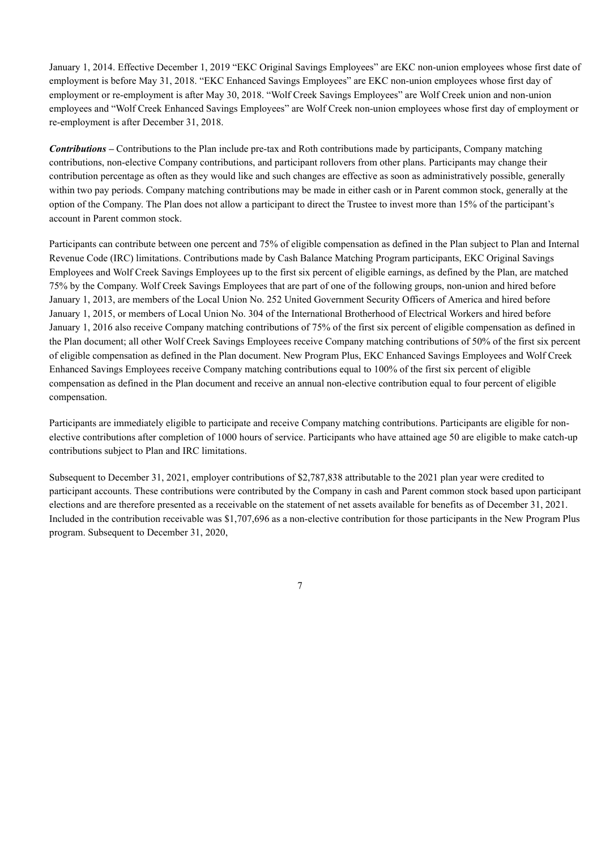January 1, 2014. Effective December 1, 2019 "EKC Original Savings Employees" are EKC non-union employees whose first date of employment is before May 31, 2018. "EKC Enhanced Savings Employees" are EKC non-union employees whose first day of employment or re-employment is after May 30, 2018. "Wolf Creek Savings Employees" are Wolf Creek union and non-union employees and "Wolf Creek Enhanced Savings Employees" are Wolf Creek non-union employees whose first day of employment or re-employment is after December 31, 2018.

*Contributions –* Contributions to the Plan include pre-tax and Roth contributions made by participants, Company matching contributions, non-elective Company contributions, and participant rollovers from other plans. Participants may change their contribution percentage as often as they would like and such changes are effective as soon as administratively possible, generally within two pay periods. Company matching contributions may be made in either cash or in Parent common stock, generally at the option of the Company. The Plan does not allow a participant to direct the Trustee to invest more than 15% of the participant's account in Parent common stock.

Participants can contribute between one percent and 75% of eligible compensation as defined in the Plan subject to Plan and Internal Revenue Code (IRC) limitations. Contributions made by Cash Balance Matching Program participants, EKC Original Savings Employees and Wolf Creek Savings Employees up to the first six percent of eligible earnings, as defined by the Plan, are matched 75% by the Company. Wolf Creek Savings Employees that are part of one of the following groups, non-union and hired before January 1, 2013, are members of the Local Union No. 252 United Government Security Officers of America and hired before January 1, 2015, or members of Local Union No. 304 of the International Brotherhood of Electrical Workers and hired before January 1, 2016 also receive Company matching contributions of 75% of the first six percent of eligible compensation as defined in the Plan document; all other Wolf Creek Savings Employees receive Company matching contributions of 50% of the first six percent of eligible compensation as defined in the Plan document. New Program Plus, EKC Enhanced Savings Employees and Wolf Creek Enhanced Savings Employees receive Company matching contributions equal to 100% of the first six percent of eligible compensation as defined in the Plan document and receive an annual non-elective contribution equal to four percent of eligible compensation.

Participants are immediately eligible to participate and receive Company matching contributions. Participants are eligible for nonelective contributions after completion of 1000 hours of service. Participants who have attained age 50 are eligible to make catch-up contributions subject to Plan and IRC limitations.

Subsequent to December 31, 2021, employer contributions of \$2,787,838 attributable to the 2021 plan year were credited to participant accounts. These contributions were contributed by the Company in cash and Parent common stock based upon participant elections and are therefore presented as a receivable on the statement of net assets available for benefits as of December 31, 2021. Included in the contribution receivable was \$1,707,696 as a non-elective contribution for those participants in the New Program Plus program. Subsequent to December 31, 2020,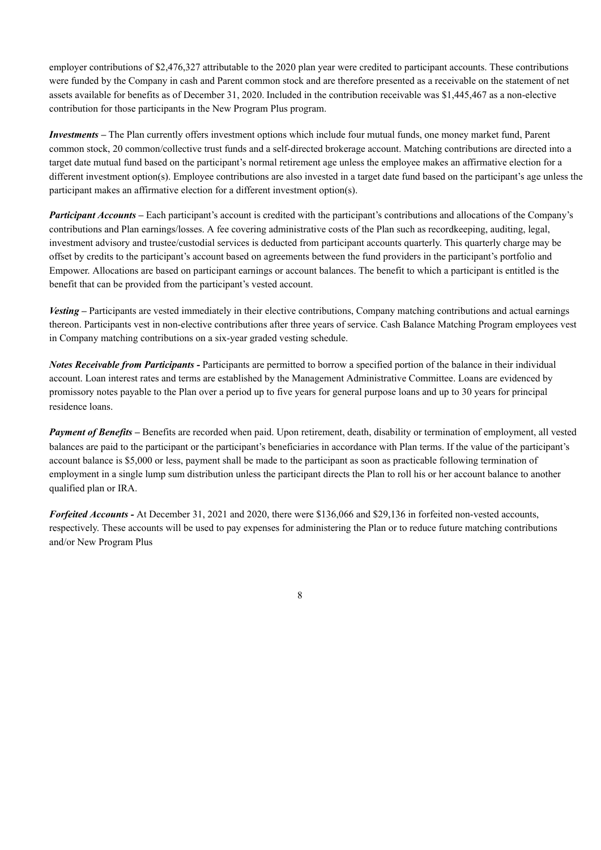employer contributions of \$2,476,327 attributable to the 2020 plan year were credited to participant accounts. These contributions were funded by the Company in cash and Parent common stock and are therefore presented as a receivable on the statement of net assets available for benefits as of December 31, 2020. Included in the contribution receivable was \$1,445,467 as a non-elective contribution for those participants in the New Program Plus program.

*Investments –* The Plan currently offers investment options which include four mutual funds, one money market fund, Parent common stock, 20 common/collective trust funds and a self-directed brokerage account. Matching contributions are directed into a target date mutual fund based on the participant's normal retirement age unless the employee makes an affirmative election for a different investment option(s). Employee contributions are also invested in a target date fund based on the participant's age unless the participant makes an affirmative election for a different investment option(s).

*Participant Accounts –* Each participant's account is credited with the participant's contributions and allocations of the Company's contributions and Plan earnings/losses. A fee covering administrative costs of the Plan such as recordkeeping, auditing, legal, investment advisory and trustee/custodial services is deducted from participant accounts quarterly. This quarterly charge may be offset by credits to the participant's account based on agreements between the fund providers in the participant's portfolio and Empower. Allocations are based on participant earnings or account balances. The benefit to which a participant is entitled is the benefit that can be provided from the participant's vested account.

*Vesting –* Participants are vested immediately in their elective contributions, Company matching contributions and actual earnings thereon. Participants vest in non-elective contributions after three years of service. Cash Balance Matching Program employees vest in Company matching contributions on a six-year graded vesting schedule.

*Notes Receivable from Participants -* Participants are permitted to borrow a specified portion of the balance in their individual account. Loan interest rates and terms are established by the Management Administrative Committee. Loans are evidenced by promissory notes payable to the Plan over a period up to five years for general purpose loans and up to 30 years for principal residence loans.

*Payment of Benefits –* Benefits are recorded when paid. Upon retirement, death, disability or termination of employment, all vested balances are paid to the participant or the participant's beneficiaries in accordance with Plan terms. If the value of the participant's account balance is \$5,000 or less, payment shall be made to the participant as soon as practicable following termination of employment in a single lump sum distribution unless the participant directs the Plan to roll his or her account balance to another qualified plan or IRA.

*Forfeited Accounts -* At December 31, 2021 and 2020, there were \$136,066 and \$29,136 in forfeited non-vested accounts, respectively. These accounts will be used to pay expenses for administering the Plan or to reduce future matching contributions and/or New Program Plus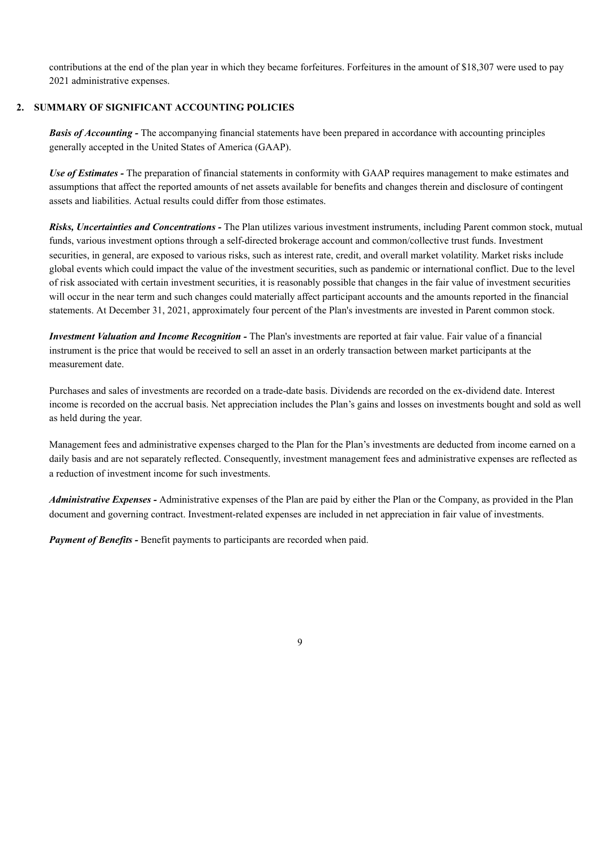contributions at the end of the plan year in which they became forfeitures. Forfeitures in the amount of \$18,307 were used to pay 2021 administrative expenses.

### **2. SUMMARY OF SIGNIFICANT ACCOUNTING POLICIES**

*Basis of Accounting -* The accompanying financial statements have been prepared in accordance with accounting principles generally accepted in the United States of America (GAAP).

*Use of Estimates -* The preparation of financial statements in conformity with GAAP requires management to make estimates and assumptions that affect the reported amounts of net assets available for benefits and changes therein and disclosure of contingent assets and liabilities. Actual results could differ from those estimates.

*Risks, Uncertainties and Concentrations -* The Plan utilizes various investment instruments, including Parent common stock, mutual funds, various investment options through a self-directed brokerage account and common/collective trust funds. Investment securities, in general, are exposed to various risks, such as interest rate, credit, and overall market volatility. Market risks include global events which could impact the value of the investment securities, such as pandemic or international conflict. Due to the level of risk associated with certain investment securities, it is reasonably possible that changes in the fair value of investment securities will occur in the near term and such changes could materially affect participant accounts and the amounts reported in the financial statements. At December 31, 2021, approximately four percent of the Plan's investments are invested in Parent common stock.

*Investment Valuation and Income Recognition -* The Plan's investments are reported at fair value. Fair value of a financial instrument is the price that would be received to sell an asset in an orderly transaction between market participants at the measurement date.

Purchases and sales of investments are recorded on a trade-date basis. Dividends are recorded on the ex-dividend date. Interest income is recorded on the accrual basis. Net appreciation includes the Plan's gains and losses on investments bought and sold as well as held during the year.

Management fees and administrative expenses charged to the Plan for the Plan's investments are deducted from income earned on a daily basis and are not separately reflected. Consequently, investment management fees and administrative expenses are reflected as a reduction of investment income for such investments.

*Administrative Expenses -* Administrative expenses of the Plan are paid by either the Plan or the Company, as provided in the Plan document and governing contract. Investment-related expenses are included in net appreciation in fair value of investments.

*Payment of Benefits -* Benefit payments to participants are recorded when paid.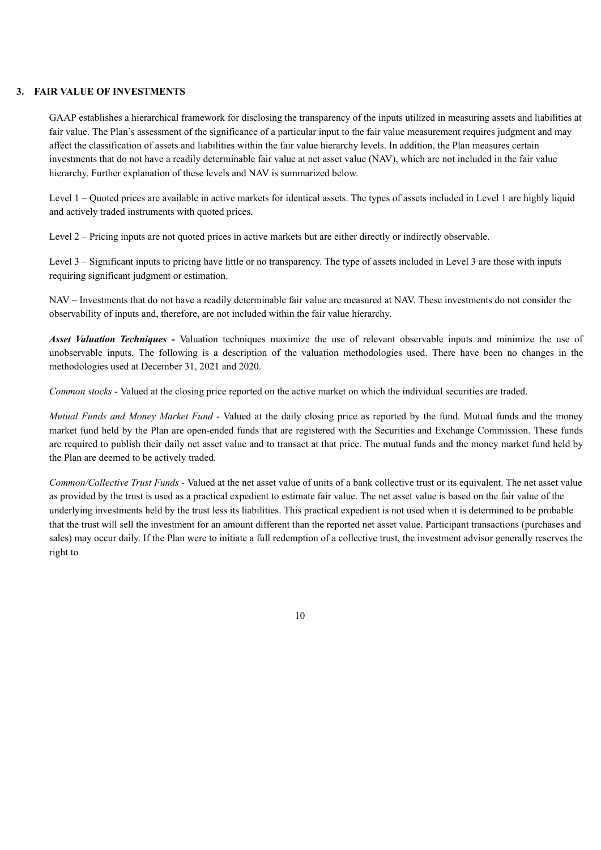### **3. FAIR VALUE OF INVESTMENTS**

GAAP establishes a hierarchical framework for disclosing the transparency of the inputs utilized in measuring assets and liabilities at fair value. The Plan's assessment of the significance of a particular input to the fair value measurement requires judgment and may affect the classification of assets and liabilities within the fair value hierarchy levels. In addition, the Plan measures certain investments that do not have a readily determinable fair value at net asset value (NAV), which are not included in the fair value hierarchy. Further explanation of these levels and NAV is summarized below.

Level 1 – Quoted prices are available in active markets for identical assets. The types of assets included in Level 1 are highly liquid and actively traded instruments with quoted prices.

Level 2 – Pricing inputs are not quoted prices in active markets but are either directly or indirectly observable.

Level 3 – Significant inputs to pricing have little or no transparency. The type of assets included in Level 3 are those with inputs requiring significant judgment or estimation.

NAV – Investments that do not have a readily determinable fair value are measured at NAV. These investments do not consider the observability of inputs and, therefore, are not included within the fair value hierarchy.

*Asset Valuation Techniques* **-** Valuation techniques maximize the use of relevant observable inputs and minimize the use of unobservable inputs. The following is a description of the valuation methodologies used. There have been no changes in the methodologies used at December 31, 2021 and 2020.

*Common stocks -* Valued at the closing price reported on the active market on which the individual securities are traded.

*Mutual Funds and Money Market Fund -* Valued at the daily closing price as reported by the fund. Mutual funds and the money market fund held by the Plan are open-ended funds that are registered with the Securities and Exchange Commission. These funds are required to publish their daily net asset value and to transact at that price. The mutual funds and the money market fund held by the Plan are deemed to be actively traded.

*Common/Collective Trust Funds -* Valued at the net asset value of units of a bank collective trust or its equivalent. The net asset value as provided by the trust is used as a practical expedient to estimate fair value. The net asset value is based on the fair value of the underlying investments held by the trust less its liabilities. This practical expedient is not used when it is determined to be probable that the trust will sell the investment for an amount different than the reported net asset value. Participant transactions (purchases and sales) may occur daily. If the Plan were to initiate a full redemption of a collective trust, the investment advisor generally reserves the right to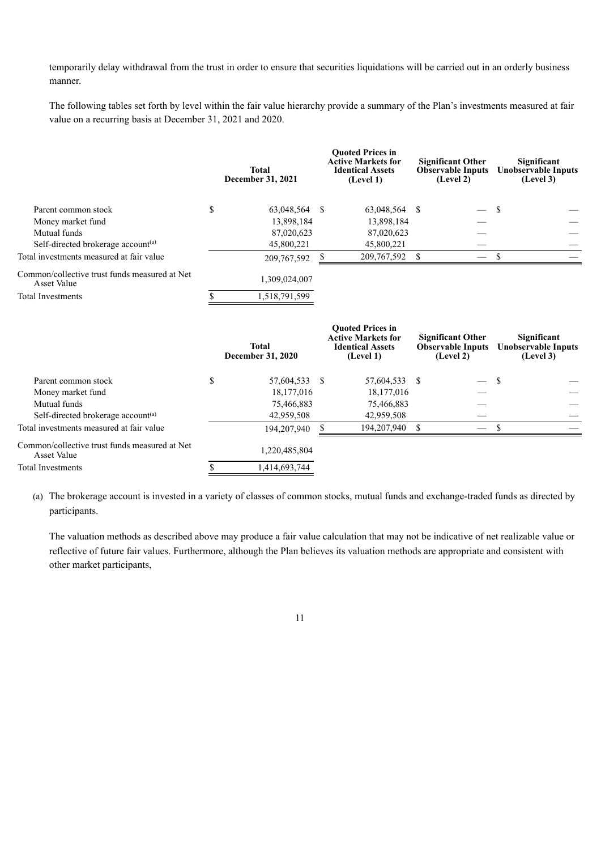temporarily delay withdrawal from the trust in order to ensure that securities liquidations will be carried out in an orderly business manner.

The following tables set forth by level within the fair value hierarchy provide a summary of the Plan's investments measured at fair value on a recurring basis at December 31, 2021 and 2020.

|                                                              | <b>Total</b><br>December 31, 2021        |              | <b>Ouoted Prices in</b><br><b>Active Markets for</b><br><b>Identical Assets</b><br>(Level 1) |               | <b>Significant Other</b><br><b>Observable Inputs</b><br>(Level 2) | Significant<br><b>Unobservable Inputs</b><br>(Level 3) |
|--------------------------------------------------------------|------------------------------------------|--------------|----------------------------------------------------------------------------------------------|---------------|-------------------------------------------------------------------|--------------------------------------------------------|
| Parent common stock                                          | \$<br>63,048,564                         | <sup>S</sup> | 63,048,564                                                                                   | <sup>\$</sup> |                                                                   | <sup>\$</sup>                                          |
| Money market fund                                            | 13,898,184                               |              | 13,898,184                                                                                   |               |                                                                   |                                                        |
| Mutual funds                                                 | 87,020,623                               |              | 87,020,623                                                                                   |               |                                                                   |                                                        |
| Self-directed brokerage account <sup>(a)</sup>               | 45,800,221                               |              | 45,800,221                                                                                   |               |                                                                   |                                                        |
| Total investments measured at fair value                     | 209, 767, 592                            | S            | 209, 767, 592                                                                                | <sup>\$</sup> |                                                                   | \$.                                                    |
| Common/collective trust funds measured at Net<br>Asset Value | 1,309,024,007                            |              |                                                                                              |               |                                                                   |                                                        |
| <b>Total Investments</b>                                     | 1,518,791,599                            |              |                                                                                              |               |                                                                   |                                                        |
|                                                              | <b>Total</b><br><b>December 31, 2020</b> |              | <b>Ouoted Prices in</b><br><b>Active Markets for</b><br><b>Identical Assets</b><br>(Level 1) |               | <b>Significant Other</b><br><b>Observable Inputs</b><br>(Level 2) | Significant<br><b>Unobservable Inputs</b><br>(Level 3) |
| Parent common stock                                          | \$<br>57,604,533                         | - \$         | 57,604,533                                                                                   | \$            |                                                                   | <sup>\$</sup>                                          |
| Money market fund                                            | 18,177,016                               |              | 18,177,016                                                                                   |               |                                                                   |                                                        |
| Mutual funds                                                 | 75,466,883                               |              | 75,466,883                                                                                   |               |                                                                   |                                                        |
| Self-directed brokerage account <sup>(a)</sup>               | 42,959,508                               |              | 42,959,508                                                                                   |               |                                                                   |                                                        |
| Total investments measured at fair value                     | 194,207,940                              | S            | 194,207,940                                                                                  | \$            |                                                                   |                                                        |
| Common/collective trust funds measured at Net<br>Asset Value | 1,220,485,804                            |              |                                                                                              |               |                                                                   |                                                        |

Total Investments  $$ 1,414,693,744$ 

(a) The brokerage account is invested in a variety of classes of common stocks, mutual funds and exchange-traded funds as directed by participants.

The valuation methods as described above may produce a fair value calculation that may not be indicative of net realizable value or reflective of future fair values. Furthermore, although the Plan believes its valuation methods are appropriate and consistent with other market participants,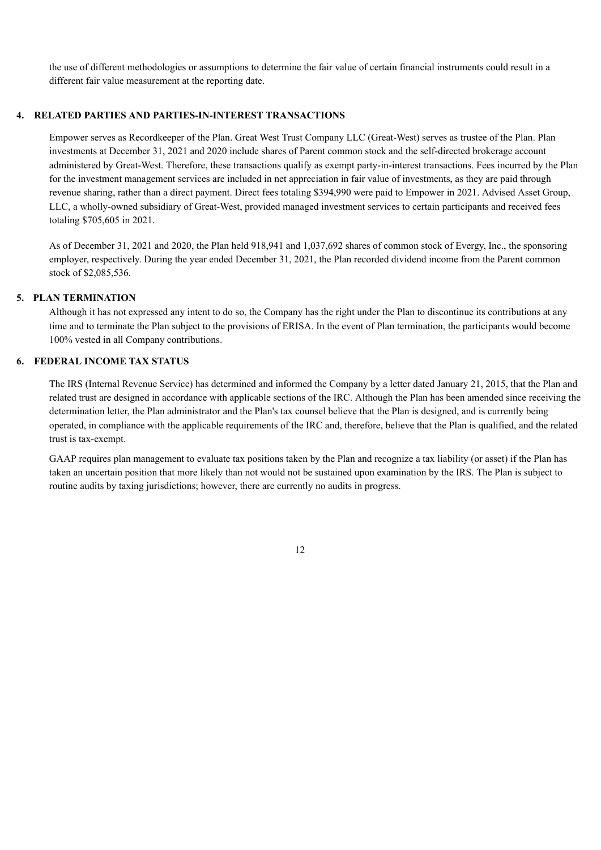the use of different methodologies or assumptions to determine the fair value of certain financial instruments could result in a different fair value measurement at the reporting date.

#### **4. RELATED PARTIES AND PARTIES-IN-INTEREST TRANSACTIONS**

Empower serves as Recordkeeper of the Plan. Great West Trust Company LLC (Great-West) serves as trustee of the Plan. Plan investments at December 31, 2021 and 2020 include shares of Parent common stock and the self-directed brokerage account administered by Great-West. Therefore, these transactions qualify as exempt party-in-interest transactions. Fees incurred by the Plan for the investment management services are included in net appreciation in fair value of investments, as they are paid through revenue sharing, rather than a direct payment. Direct fees totaling \$394,990 were paid to Empower in 2021. Advised Asset Group, LLC, a wholly-owned subsidiary of Great-West, provided managed investment services to certain participants and received fees totaling \$705,605 in 2021.

As of December 31, 2021 and 2020, the Plan held 918,941 and 1,037,692 shares of common stock of Evergy, Inc., the sponsoring employer, respectively. During the year ended December 31, 2021, the Plan recorded dividend income from the Parent common stock of \$2,085,536.

#### **5. PLAN TERMINATION**

Although it has not expressed any intent to do so, the Company has the right under the Plan to discontinue its contributions at any time and to terminate the Plan subject to the provisions of ERISA. In the event of Plan termination, the participants would become 100% vested in all Company contributions.

## **6. FEDERAL INCOME TAX STATUS**

The IRS (Internal Revenue Service) has determined and informed the Company by a letter dated January 21, 2015, that the Plan and related trust are designed in accordance with applicable sections of the IRC. Although the Plan has been amended since receiving the determination letter, the Plan administrator and the Plan's tax counsel believe that the Plan is designed, and is currently being operated, in compliance with the applicable requirements of the IRC and, therefore, believe that the Plan is qualified, and the related trust is tax-exempt.

GAAP requires plan management to evaluate tax positions taken by the Plan and recognize a tax liability (or asset) if the Plan has taken an uncertain position that more likely than not would not be sustained upon examination by the IRS. The Plan is subject to routine audits by taxing jurisdictions; however, there are currently no audits in progress.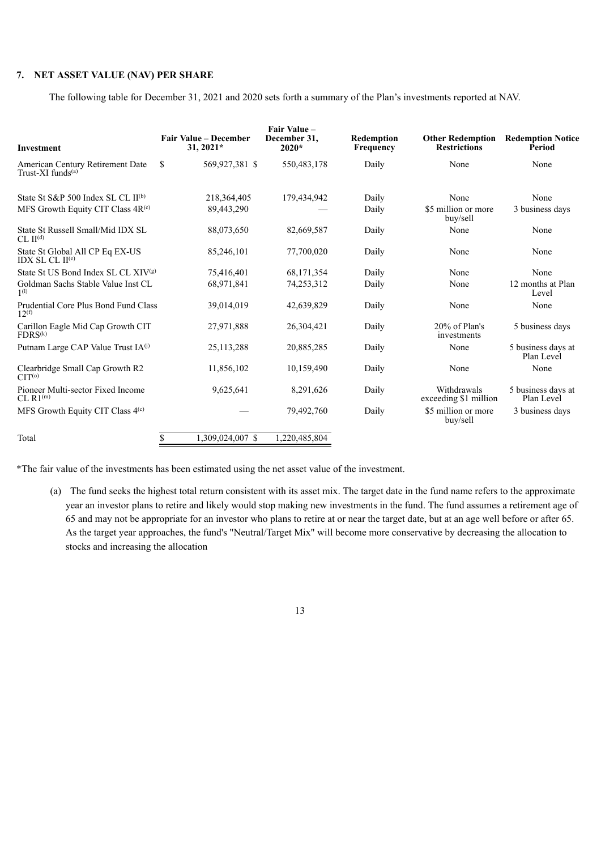## **7. NET ASSET VALUE (NAV) PER SHARE**

The following table for December 31, 2021 and 2020 sets forth a summary of the Plan's investments reported at NAV.

| Investment                                               |               | <b>Fair Value – December</b><br>31, 2021* | Fair Value -<br>December 31,<br>2020* | Redemption<br>Frequency | <b>Other Redemption</b><br><b>Restrictions</b> | <b>Redemption Notice</b><br>Period |
|----------------------------------------------------------|---------------|-------------------------------------------|---------------------------------------|-------------------------|------------------------------------------------|------------------------------------|
| American Century Retirement Date<br>Trust-XI funds $(a)$ | <sup>\$</sup> | 569,927,381 \$                            | 550,483,178                           | Daily                   | None                                           | None                               |
| State St S&P 500 Index SL CL II <sup>(b)</sup>           |               | 218, 364, 405                             | 179,434,942                           | Daily                   | None                                           | None                               |
| MFS Growth Equity CIT Class $4R^{(c)}$                   |               | 89,443,290                                |                                       | Daily                   | \$5 million or more<br>buy/sell                | 3 business days                    |
| State St Russell Small/Mid IDX SL<br>$CL$ $II(d)$        |               | 88,073,650                                | 82,669,587                            | Daily                   | None                                           | None                               |
| State St Global All CP Eq EX-US<br>IDX SL CL $II(e)$     |               | 85,246,101                                | 77,700,020                            | Daily                   | None                                           | None                               |
| State St US Bond Index SL CL XIV <sup>(g)</sup>          |               | 75,416,401                                | 68,171,354                            | Daily                   | None                                           | None                               |
| Goldman Sachs Stable Value Inst CL<br>1 <sup>(1)</sup>   |               | 68,971,841                                | 74,253,312                            | Daily                   | None                                           | 12 months at Plan<br>Level         |
| Prudential Core Plus Bond Fund Class<br>$12^{(f)}$       |               | 39,014,019                                | 42,639,829                            | Daily                   | None                                           | None                               |
| Carillon Eagle Mid Cap Growth CIT<br>$FDRS^{(k)}$        |               | 27,971,888                                | 26,304,421                            | Daily                   | $20\%$ of Plan's<br>investments                | 5 business days                    |
| Putnam Large CAP Value Trust IA <sup>(j)</sup>           |               | 25, 113, 288                              | 20,885,285                            | Daily                   | None                                           | 5 business days at<br>Plan Level   |
| Clearbridge Small Cap Growth R2<br>CIT <sup>(0)</sup>    |               | 11,856,102                                | 10,159,490                            | Daily                   | None                                           | None                               |
| Pioneer Multi-sector Fixed Income<br>CL $R1(m)$          |               | 9,625,641                                 | 8,291,626                             | Daily                   | Withdrawals<br>exceeding \$1 million           | 5 business days at<br>Plan Level   |
| MFS Growth Equity CIT Class 4 <sup>(c)</sup>             |               |                                           | 79,492,760                            | Daily                   | \$5 million or more<br>buy/sell                | 3 business days                    |
| Total                                                    | <sup>\$</sup> | 1.309.024.007 \$                          | 1.220.485.804                         |                         |                                                |                                    |

\*The fair value of the investments has been estimated using the net asset value of the investment.

(a) The fund seeks the highest total return consistent with its asset mix. The target date in the fund name refers to the approximate year an investor plans to retire and likely would stop making new investments in the fund. The fund assumes a retirement age of 65 and may not be appropriate for an investor who plans to retire at or near the target date, but at an age well before or after 65. As the target year approaches, the fund's "Neutral/Target Mix" will become more conservative by decreasing the allocation to stocks and increasing the allocation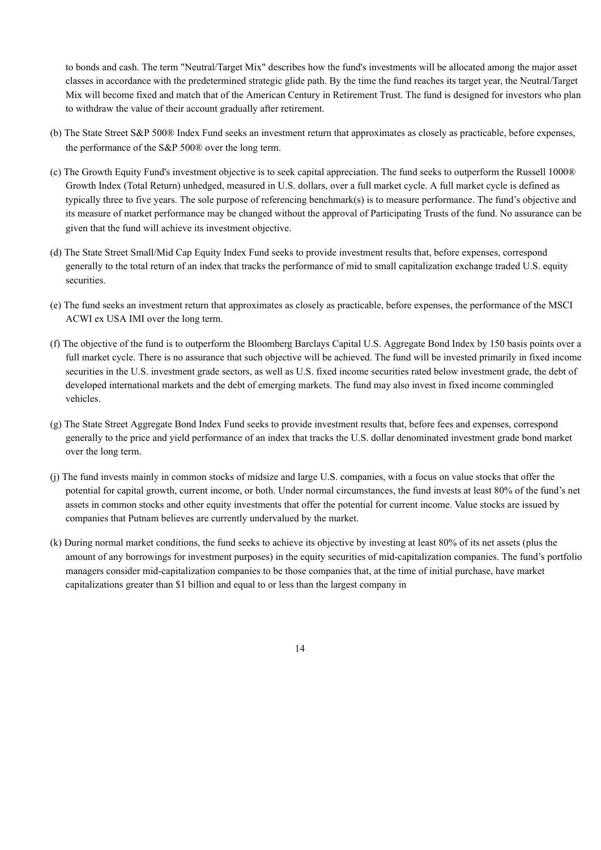to bonds and cash. The term "Neutral/Target Mix" describes how the fund's investments will be allocated among the major asset classes in accordance with the predetermined strategic glide path. By the time the fund reaches its target year, the Neutral/Target Mix will become fixed and match that of the American Century in Retirement Trust. The fund is designed for investors who plan to withdraw the value of their account gradually after retirement.

- (b) The State Street S&P 500® Index Fund seeks an investment return that approximates as closely as practicable, before expenses, the performance of the S&P 500® over the long term.
- (c) The Growth Equity Fund's investment objective is to seek capital appreciation. The fund seeks to outperform the Russell 1000® Growth Index (Total Return) unhedged, measured in U.S. dollars, over a full market cycle. A full market cycle is defined as typically three to five years. The sole purpose of referencing benchmark(s) is to measure performance. The fund's objective and its measure of market performance may be changed without the approval of Participating Trusts of the fund. No assurance can be given that the fund will achieve its investment objective.
- (d) The State Street Small/Mid Cap Equity Index Fund seeks to provide investment results that, before expenses, correspond generally to the total return of an index that tracks the performance of mid to small capitalization exchange traded U.S. equity securities.
- (e) The fund seeks an investment return that approximates as closely as practicable, before expenses, the performance of the MSCI ACWI ex USA IMI over the long term.
- (f) The objective of the fund is to outperform the Bloomberg Barclays Capital U.S. Aggregate Bond Index by 150 basis points over a full market cycle. There is no assurance that such objective will be achieved. The fund will be invested primarily in fixed income securities in the U.S. investment grade sectors, as well as U.S. fixed income securities rated below investment grade, the debt of developed international markets and the debt of emerging markets. The fund may also invest in fixed income commingled vehicles.
- (g) The State Street Aggregate Bond Index Fund seeks to provide investment results that, before fees and expenses, correspond generally to the price and yield performance of an index that tracks the U.S. dollar denominated investment grade bond market over the long term.
- (j) The fund invests mainly in common stocks of midsize and large U.S. companies, with a focus on value stocks that offer the potential for capital growth, current income, or both. Under normal circumstances, the fund invests at least 80% of the fund's net assets in common stocks and other equity investments that offer the potential for current income. Value stocks are issued by companies that Putnam believes are currently undervalued by the market.
- (k) During normal market conditions, the fund seeks to achieve its objective by investing at least 80% of its net assets (plus the amount of any borrowings for investment purposes) in the equity securities of mid-capitalization companies. The fund's portfolio managers consider mid-capitalization companies to be those companies that, at the time of initial purchase, have market capitalizations greater than \$1 billion and equal to or less than the largest company in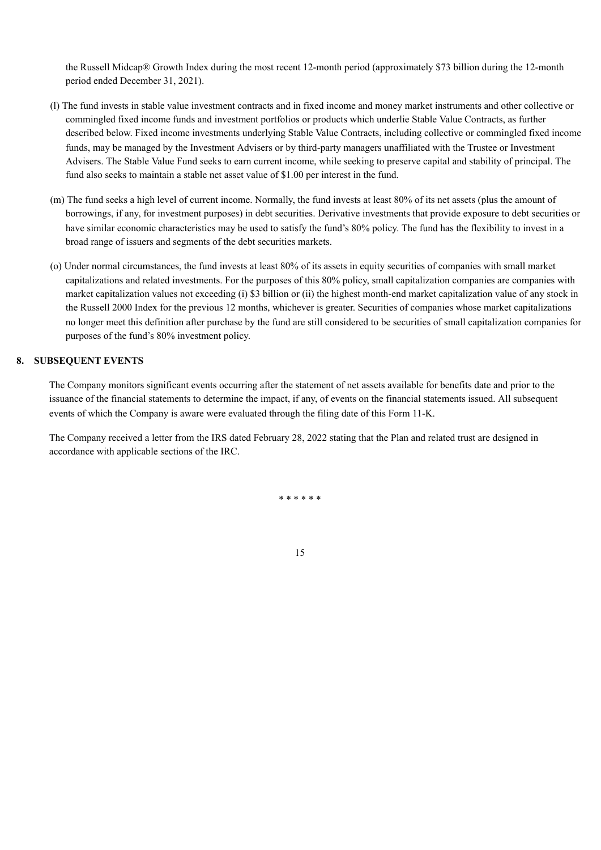the Russell Midcap® Growth Index during the most recent 12-month period (approximately \$73 billion during the 12-month period ended December 31, 2021).

- (l) The fund invests in stable value investment contracts and in fixed income and money market instruments and other collective or commingled fixed income funds and investment portfolios or products which underlie Stable Value Contracts, as further described below. Fixed income investments underlying Stable Value Contracts, including collective or commingled fixed income funds, may be managed by the Investment Advisers or by third-party managers unaffiliated with the Trustee or Investment Advisers. The Stable Value Fund seeks to earn current income, while seeking to preserve capital and stability of principal. The fund also seeks to maintain a stable net asset value of \$1.00 per interest in the fund.
- (m) The fund seeks a high level of current income. Normally, the fund invests at least 80% of its net assets (plus the amount of borrowings, if any, for investment purposes) in debt securities. Derivative investments that provide exposure to debt securities or have similar economic characteristics may be used to satisfy the fund's 80% policy. The fund has the flexibility to invest in a broad range of issuers and segments of the debt securities markets.
- (o) Under normal circumstances, the fund invests at least 80% of its assets in equity securities of companies with small market capitalizations and related investments. For the purposes of this 80% policy, small capitalization companies are companies with market capitalization values not exceeding (i) \$3 billion or (ii) the highest month-end market capitalization value of any stock in the Russell 2000 Index for the previous 12 months, whichever is greater. Securities of companies whose market capitalizations no longer meet this definition after purchase by the fund are still considered to be securities of small capitalization companies for purposes of the fund's 80% investment policy.

#### **8. SUBSEQUENT EVENTS**

The Company monitors significant events occurring after the statement of net assets available for benefits date and prior to the issuance of the financial statements to determine the impact, if any, of events on the financial statements issued. All subsequent events of which the Company is aware were evaluated through the filing date of this Form 11-K.

The Company received a letter from the IRS dated February 28, 2022 stating that the Plan and related trust are designed in accordance with applicable sections of the IRC.

\* \* \* \* \* \*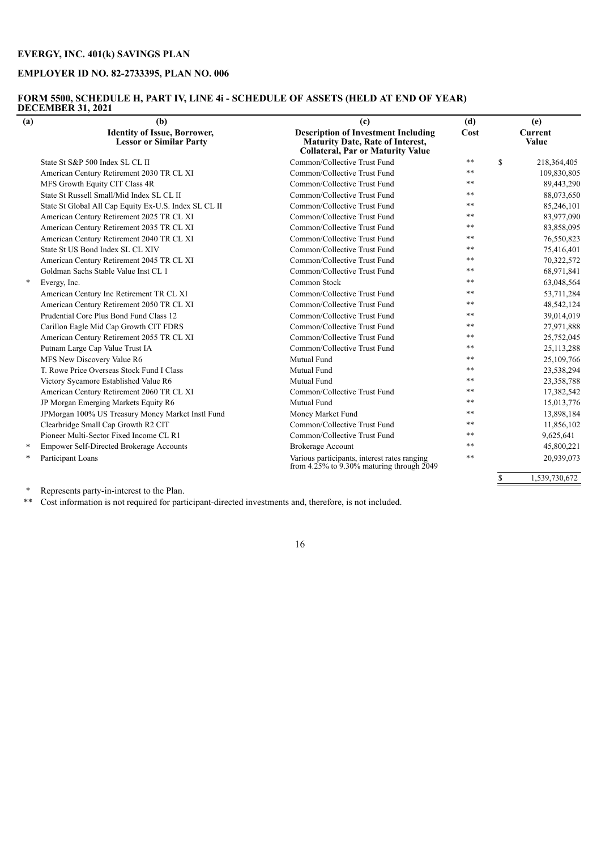### **EMPLOYER ID NO. 82-2733395, PLAN NO. 006**

#### **FORM 5500, SCHEDULE H, PART IV, LINE 4i - SCHEDULE OF ASSETS (HELD AT END OF YEAR) DECEMBER 31, 2021**

| (a)    | (b)                                                                   | (c)                                                                                                                               | (d)  |             | (e)                     |
|--------|-----------------------------------------------------------------------|-----------------------------------------------------------------------------------------------------------------------------------|------|-------------|-------------------------|
|        | <b>Identity of Issue, Borrower,</b><br><b>Lessor or Similar Party</b> | <b>Description of Investment Including</b><br><b>Maturity Date, Rate of Interest,</b><br><b>Collateral, Par or Maturity Value</b> | Cost |             | <b>Current</b><br>Value |
|        | State St S&P 500 Index SL CL II                                       | Common/Collective Trust Fund                                                                                                      | **   | $\mathbf S$ | 218,364,405             |
|        | American Century Retirement 2030 TR CL XI                             | Common/Collective Trust Fund                                                                                                      | **   |             | 109,830,805             |
|        | MFS Growth Equity CIT Class 4R                                        | Common/Collective Trust Fund                                                                                                      | **   |             | 89,443,290              |
|        | State St Russell Small/Mid Index SL CL II                             | Common/Collective Trust Fund                                                                                                      | **   |             | 88,073,650              |
|        | State St Global All Cap Equity Ex-U.S. Index SL CL II                 | Common/Collective Trust Fund                                                                                                      | **   |             | 85,246,101              |
|        | American Century Retirement 2025 TR CL XI                             | Common/Collective Trust Fund                                                                                                      | **   |             | 83,977,090              |
|        | American Century Retirement 2035 TR CL XI                             | Common/Collective Trust Fund                                                                                                      | **   |             | 83,858,095              |
|        | American Century Retirement 2040 TR CL XI                             | Common/Collective Trust Fund                                                                                                      | **   |             | 76,550,823              |
|        | State St US Bond Index SL CL XIV                                      | Common/Collective Trust Fund                                                                                                      | **   |             | 75,416,401              |
|        | American Century Retirement 2045 TR CL XI                             | Common/Collective Trust Fund                                                                                                      | **   |             | 70,322,572              |
|        | Goldman Sachs Stable Value Inst CL 1                                  | Common/Collective Trust Fund                                                                                                      | **   |             | 68,971,841              |
| $\ast$ | Evergy, Inc.                                                          | Common Stock                                                                                                                      | **   |             | 63,048,564              |
|        | American Century Inc Retirement TR CL XI                              | Common/Collective Trust Fund                                                                                                      | **   |             | 53,711,284              |
|        | American Century Retirement 2050 TR CL XI                             | Common/Collective Trust Fund                                                                                                      | **   |             | 48,542,124              |
|        | Prudential Core Plus Bond Fund Class 12                               | Common/Collective Trust Fund                                                                                                      | **   |             | 39,014,019              |
|        | Carillon Eagle Mid Cap Growth CIT FDRS                                | Common/Collective Trust Fund                                                                                                      | **   |             | 27,971,888              |
|        | American Century Retirement 2055 TR CL XI                             | Common/Collective Trust Fund                                                                                                      | **   |             | 25,752,045              |
|        | Putnam Large Cap Value Trust IA                                       | Common/Collective Trust Fund                                                                                                      | **   |             | 25,113,288              |
|        | MFS New Discovery Value R6                                            | Mutual Fund                                                                                                                       | **   |             | 25,109,766              |
|        | T. Rowe Price Overseas Stock Fund I Class                             | Mutual Fund                                                                                                                       | **   |             | 23,538,294              |
|        | Victory Sycamore Established Value R6                                 | Mutual Fund                                                                                                                       | **   |             | 23,358,788              |
|        | American Century Retirement 2060 TR CL XI                             | Common/Collective Trust Fund                                                                                                      | **   |             | 17,382,542              |
|        | JP Morgan Emerging Markets Equity R6                                  | Mutual Fund                                                                                                                       | **   |             | 15,013,776              |
|        | JPMorgan 100% US Treasury Money Market Instl Fund                     | Money Market Fund                                                                                                                 | **   |             | 13,898,184              |
|        | Clearbridge Small Cap Growth R2 CIT                                   | Common/Collective Trust Fund                                                                                                      | **   |             | 11,856,102              |
|        | Pioneer Multi-Sector Fixed Income CL R1                               | Common/Collective Trust Fund                                                                                                      | **   |             | 9,625,641               |
| $\ast$ | <b>Empower Self-Directed Brokerage Accounts</b>                       | <b>Brokerage Account</b>                                                                                                          | **   |             | 45,800,221              |
| $\ast$ | Participant Loans                                                     | Various participants, interest rates ranging<br>from $4.25\%$ to $9.30\%$ maturing through $2049$                                 | **   |             | 20,939,073              |
|        |                                                                       |                                                                                                                                   |      | \$          | 1,539,730,672           |

\* Represents party-in-interest to the Plan.

\*\* Cost information is not required for participant-directed investments and, therefore, is not included.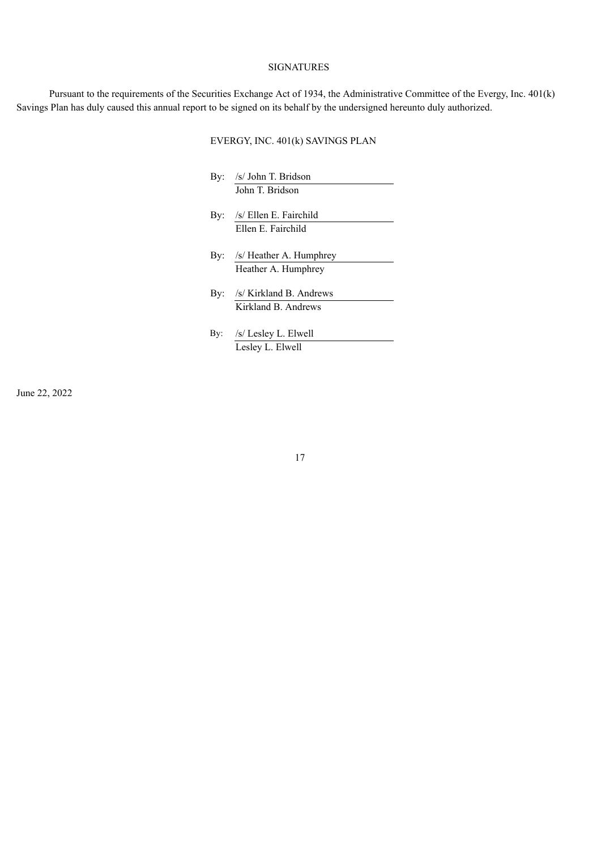#### SIGNATURES

Pursuant to the requirements of the Securities Exchange Act of 1934, the Administrative Committee of the Evergy, Inc. 401(k) Savings Plan has duly caused this annual report to be signed on its behalf by the undersigned hereunto duly authorized.

### EVERGY, INC. 401(k) SAVINGS PLAN

- By: /s/ John T. Bridson John T. Bridson
- By: /s/ Ellen E. Fairchild Ellen E. Fairchild
- By: /s/ Heather A. Humphrey Heather A. Humphrey
- By: /s/ Kirkland B. Andrews Kirkland B. Andrews
- By: /s/ Lesley L. Elwell Lesley L. Elwell

June 22, 2022